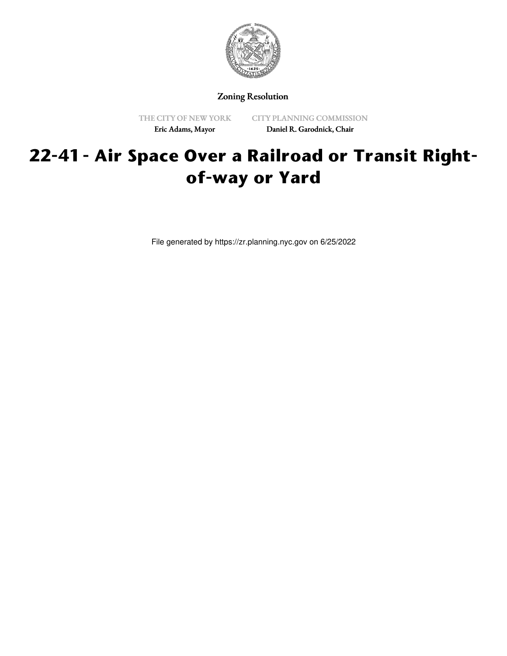

Zoning Resolution

THE CITY OF NEW YORK Eric Adams, Mayor

CITY PLANNING COMMISSION Daniel R. Garodnick, Chair

# **22-41 - Air Space Over a Railroad or Transit Rightof-way or Yard**

File generated by https://zr.planning.nyc.gov on 6/25/2022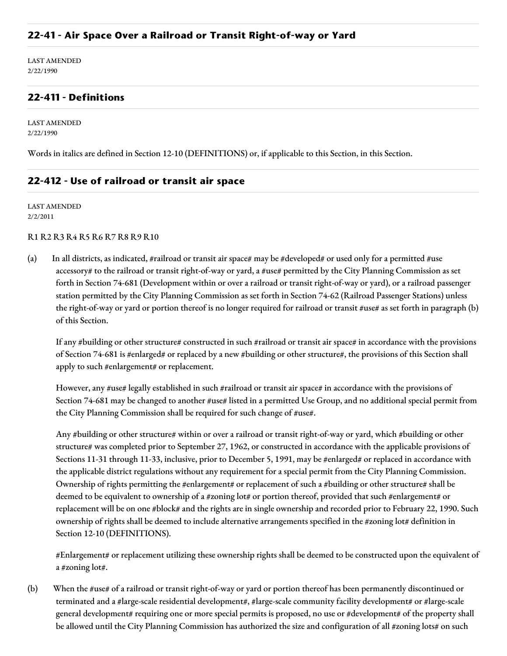### **22-41 - Air Space Over a Railroad or Transit Right-of-way or Yard**

LAST AMENDED 2/22/1990

# **22-411 - Definitions**

LAST AMENDED 2/22/1990

Words in italics are defined in Section 12-10 (DEFINITIONS) or, if applicable to this Section, in this Section.

## **22-412 - Use of railroad or transit air space**

LAST AMENDED 2/2/2011

#### R1 R2 R3 R4 R5 R6 R7 R8 R9 R10

(a) In all districts, as indicated, #railroad or transit air space# may be #developed# or used only for a permitted #use accessory# to the railroad or transit right-of-way or yard, a #use# permitted by the City Planning Commission as set forth in Section 74-681 (Development within or over a railroad or transit right-of-way or yard), or a railroad passenger station permitted by the City Planning Commission as set forth in Section 74-62 (Railroad Passenger Stations) unless the right-of-way or yard or portion thereof is no longer required for railroad or transit #use# as set forth in paragraph (b) of this Section.

If any #building or other structure# constructed in such #railroad or transit air space# in accordance with the provisions of Section 74-681 is #enlarged# or replaced by a new #building or other structure#, the provisions of this Section shall apply to such #enlargement# or replacement.

However, any #use# legally established in such #railroad or transit air space# in accordance with the provisions of Section 74-681 may be changed to another #use# listed in a permitted Use Group, and no additional special permit from the City Planning Commission shall be required for such change of #use#.

Any #building or other structure# within or over a railroad or transit right-of-way or yard, which #building or other structure# was completed prior to September 27, 1962, or constructed in accordance with the applicable provisions of Sections 11-31 through 11-33, inclusive, prior to December 5, 1991, may be #enlarged# or replaced in accordance with the applicable district regulations without any requirement for a special permit from the City Planning Commission. Ownership of rights permitting the #enlargement# or replacement of such a #building or other structure# shall be deemed to be equivalent to ownership of a #zoning lot# or portion thereof, provided that such #enlargement# or replacement will be on one #block# and the rights are in single ownership and recorded prior to February 22, 1990. Such ownership of rights shall be deemed to include alternative arrangements specified in the #zoning lot# definition in Section 12-10 (DEFINITIONS).

#Enlargement# or replacement utilizing these ownership rights shall be deemed to be constructed upon the equivalent of a #zoning lot#.

(b) When the #use# of a railroad or transit right-of-way or yard or portion thereof has been permanently discontinued or terminated and a #large-scale residential development#, #large-scale community facility development# or #large-scale general development# requiring one or more special permits is proposed, no use or #development# of the property shall be allowed until the City Planning Commission has authorized the size and configuration of all #zoning lots# on such